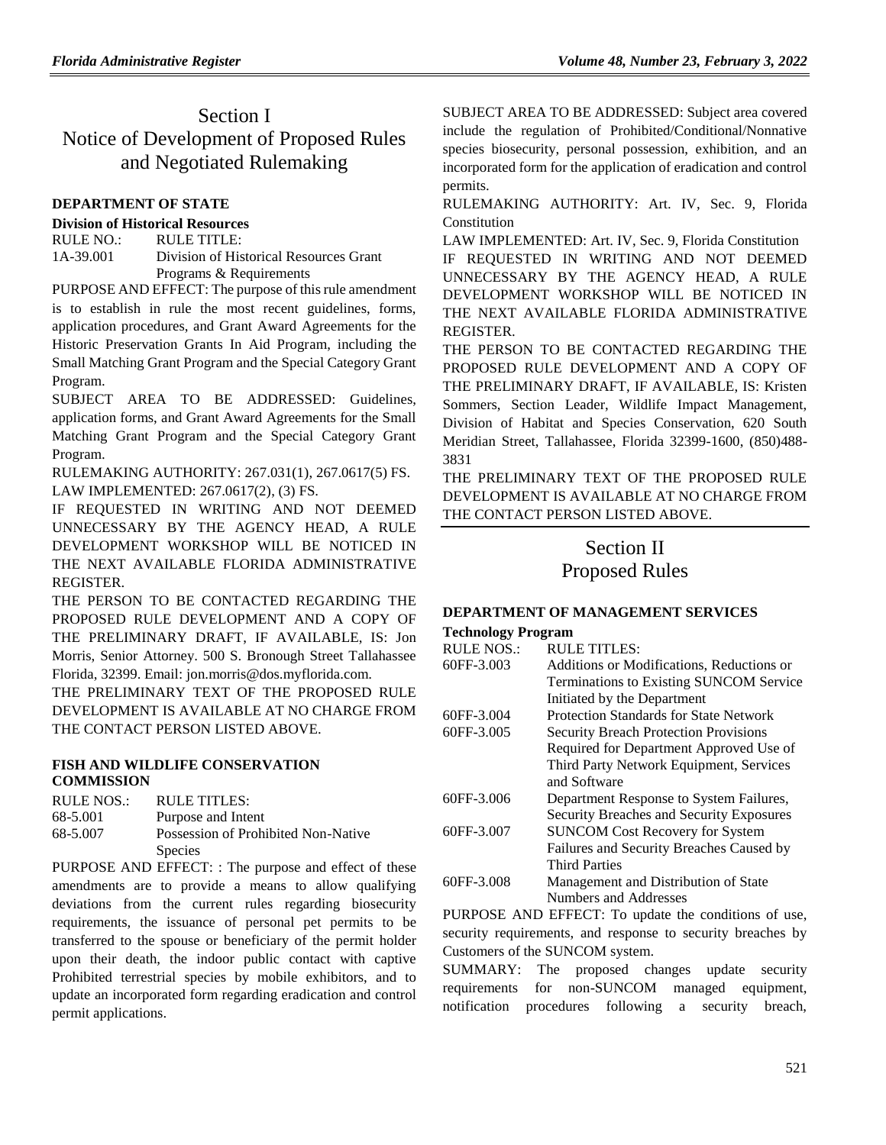# Section I Notice of Development of Proposed Rules and Negotiated Rulemaking

### **[DEPARTMENT OF STATE](https://www.flrules.org/gateway/department.asp?id=1)**

### **[Division of Historical Resources](https://www.flrules.org/gateway/organization.asp?id=1)**

RULE NO.: RULE TITLE: [1A-39.001](https://www.flrules.org/gateway/ruleNo.asp?id=1A-39.001) Division of Historical Resources Grant Programs & Requirements

PURPOSE AND EFFECT: The purpose of this rule amendment is to establish in rule the most recent guidelines, forms, application procedures, and Grant Award Agreements for the Historic Preservation Grants In Aid Program, including the Small Matching Grant Program and the Special Category Grant Program.

SUBJECT AREA TO BE ADDRESSED: Guidelines, application forms, and Grant Award Agreements for the Small Matching Grant Program and the Special Category Grant Program.

RULEMAKING AUTHORITY: [267.031\(1\),](https://www.flrules.org/gateway/statute.asp?id=267.031(1)) [267.0617\(5\) FS.](https://www.flrules.org/gateway/statute.asp?id=%20267.0617(5)%20FS.) LAW IMPLEMENTED: [267.0617\(2\),](https://www.flrules.org/gateway/statute.asp?id=267.0617(2)) (3) FS.

IF REQUESTED IN WRITING AND NOT DEEMED UNNECESSARY BY THE AGENCY HEAD, A RULE DEVELOPMENT WORKSHOP WILL BE NOTICED IN THE NEXT AVAILABLE FLORIDA ADMINISTRATIVE REGISTER.

THE PERSON TO BE CONTACTED REGARDING THE PROPOSED RULE DEVELOPMENT AND A COPY OF THE PRELIMINARY DRAFT, IF AVAILABLE, IS: Jon Morris, Senior Attorney. 500 S. Bronough Street Tallahassee Florida, 32399. Email: jon.morris@dos.myflorida.com.

THE PRELIMINARY TEXT OF THE PROPOSED RULE DEVELOPMENT IS AVAILABLE AT NO CHARGE FROM THE CONTACT PERSON LISTED ABOVE.

## **[FISH AND WILDLIFE CONSERVATION](https://www.flrules.org/gateway/department.asp?id=68)  [COMMISSION](https://www.flrules.org/gateway/department.asp?id=68)**

| RULE NOS.: | RULE TITLES:                        |
|------------|-------------------------------------|
| 68-5.001   | Purpose and Intent                  |
| 68-5.007   | Possession of Prohibited Non-Native |
|            | <b>Species</b>                      |

PURPOSE AND EFFECT: : The purpose and effect of these amendments are to provide a means to allow qualifying deviations from the current rules regarding biosecurity requirements, the issuance of personal pet permits to be transferred to the spouse or beneficiary of the permit holder upon their death, the indoor public contact with captive Prohibited terrestrial species by mobile exhibitors, and to update an incorporated form regarding eradication and control permit applications.

SUBJECT AREA TO BE ADDRESSED: Subject area covered include the regulation of Prohibited/Conditional/Nonnative species biosecurity, personal possession, exhibition, and an incorporated form for the application of eradication and control permits.

RULEMAKING AUTHORITY: [Art. IV, Sec. 9, Florida](https://www.flrules.org/gateway/flconstitution.asp?id=Art.%20IV,%20Sec.%209,%20Florida%20Constitution)  [Constitution](https://www.flrules.org/gateway/flconstitution.asp?id=Art.%20IV,%20Sec.%209,%20Florida%20Constitution)

LAW IMPLEMENTED: [Art. IV, Sec. 9, Florida Constitution](https://www.flrules.org/gateway/flconstitution.asp?id=Art.%20IV,%20Sec.%209,%20Florida%20Constitution) IF REQUESTED IN WRITING AND NOT DEEMED UNNECESSARY BY THE AGENCY HEAD, A RULE DEVELOPMENT WORKSHOP WILL BE NOTICED IN THE NEXT AVAILABLE FLORIDA ADMINISTRATIVE REGISTER.

THE PERSON TO BE CONTACTED REGARDING THE PROPOSED RULE DEVELOPMENT AND A COPY OF THE PRELIMINARY DRAFT, IF AVAILABLE, IS: Kristen Sommers, Section Leader, Wildlife Impact Management, Division of Habitat and Species Conservation, 620 South Meridian Street, Tallahassee, Florida 32399-1600, (850)488- 3831

THE PRELIMINARY TEXT OF THE PROPOSED RULE DEVELOPMENT IS AVAILABLE AT NO CHARGE FROM THE CONTACT PERSON LISTED ABOVE.

# Section II Proposed Rules

# **[DEPARTMENT OF MANAGEMENT SERVICES](https://www.flrules.org/gateway/department.asp?id=60)**

#### **[Technology Program](https://www.flrules.org/gateway/organization.asp?id=765)**

| <b>RULE NOS.:</b> | <b>RULE TITLES:</b>                           |
|-------------------|-----------------------------------------------|
| 60FF-3.003        | Additions or Modifications, Reductions or     |
|                   | Terminations to Existing SUNCOM Service       |
|                   | Initiated by the Department                   |
| 60FF-3.004        | <b>Protection Standards for State Network</b> |
| 60FF-3.005        | <b>Security Breach Protection Provisions</b>  |
|                   | Required for Department Approved Use of       |
|                   | Third Party Network Equipment, Services       |
|                   | and Software                                  |
| 60FF-3.006        | Department Response to System Failures,       |
|                   | Security Breaches and Security Exposures      |
| 60FF-3.007        | <b>SUNCOM Cost Recovery for System</b>        |
|                   | Failures and Security Breaches Caused by      |
|                   | <b>Third Parties</b>                          |
| 60FF-3.008        | Management and Distribution of State          |
|                   | Numbers and Addresses                         |

PURPOSE AND EFFECT: To update the conditions of use, security requirements, and response to security breaches by Customers of the SUNCOM system.

SUMMARY: The proposed changes update security requirements for non-SUNCOM managed equipment, notification procedures following a security breach,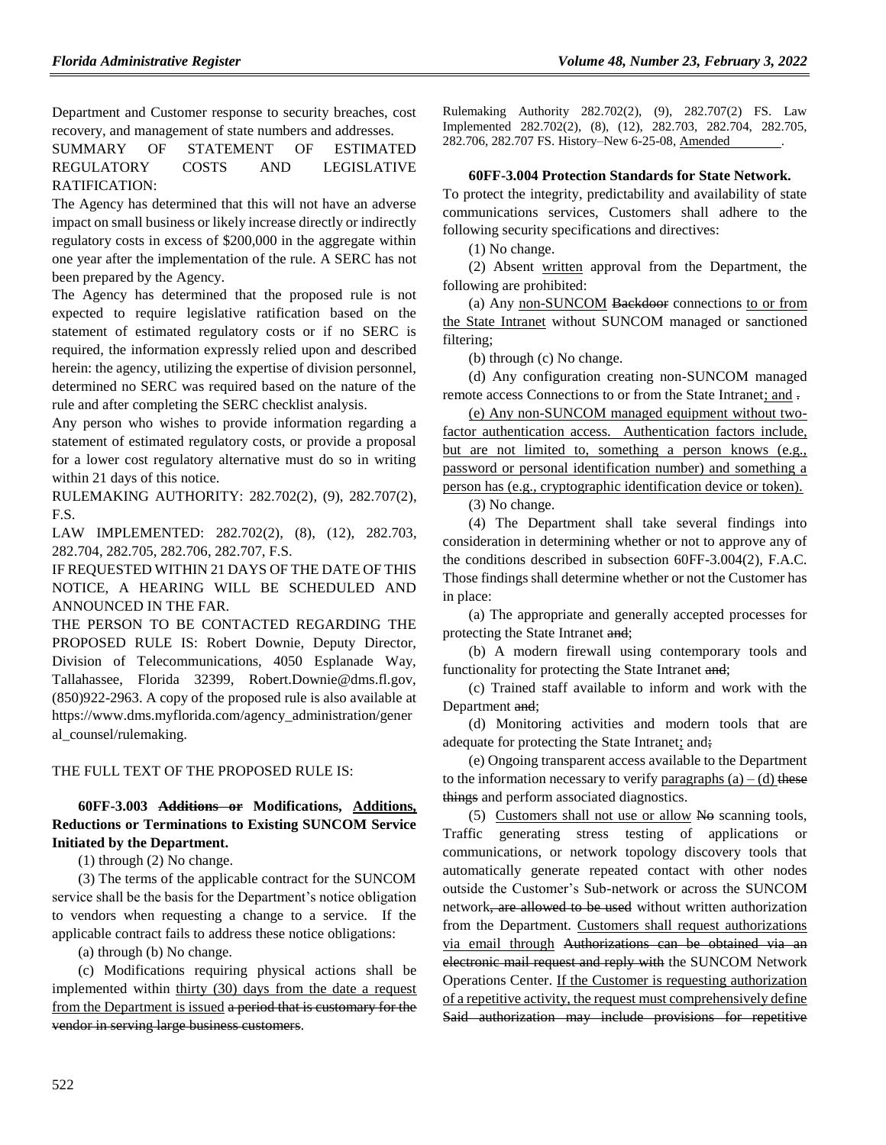Department and Customer response to security breaches, cost recovery, and management of state numbers and addresses.

SUMMARY OF STATEMENT OF ESTIMATED REGULATORY COSTS AND LEGISLATIVE RATIFICATION:

The Agency has determined that this will not have an adverse impact on small business or likely increase directly or indirectly regulatory costs in excess of \$200,000 in the aggregate within one year after the implementation of the rule. A SERC has not been prepared by the Agency.

The Agency has determined that the proposed rule is not expected to require legislative ratification based on the statement of estimated regulatory costs or if no SERC is required, the information expressly relied upon and described herein: the agency, utilizing the expertise of division personnel, determined no SERC was required based on the nature of the rule and after completing the SERC checklist analysis.

Any person who wishes to provide information regarding a statement of estimated regulatory costs, or provide a proposal for a lower cost regulatory alternative must do so in writing within 21 days of this notice.

RULEMAKING AUTHORITY: [282.702\(2\),](https://www.flrules.org/gateway/statute.asp?id=282.702(2)) (9), [282.707\(2\),](https://www.flrules.org/gateway/statute.asp?id=%20282.707(2)) F.S.

LAW IMPLEMENTED: [282.702\(2\),](https://www.flrules.org/gateway/statute.asp?id=282.702(2)) (8), (12), [282.703,](https://www.flrules.org/gateway/statute.asp?id=%20282.703) [282.704,](https://www.flrules.org/gateway/statute.asp?id=%20282.704) [282.705,](https://www.flrules.org/gateway/statute.asp?id=%20282.705) [282.706,](https://www.flrules.org/gateway/statute.asp?id=%20282.706) [282.707,](https://www.flrules.org/gateway/statute.asp?id=%20282.707) F.S.

IF REQUESTED WITHIN 21 DAYS OF THE DATE OF THIS NOTICE, A HEARING WILL BE SCHEDULED AND ANNOUNCED IN THE FAR.

THE PERSON TO BE CONTACTED REGARDING THE PROPOSED RULE IS: Robert Downie, Deputy Director, Division of Telecommunications, 4050 Esplanade Way, Tallahassee, Florida 32399, Robert.Downie@dms.fl.gov, (850)922-2963. A copy of the proposed rule is also available at https://www.dms.myflorida.com/agency\_administration/gener al\_counsel/rulemaking.

#### THE FULL TEXT OF THE PROPOSED RULE IS:

## **60FF-3.003 Additions or Modifications, Additions, Reductions or Terminations to Existing SUNCOM Service Initiated by the Department.**

(1) through (2) No change.

(3) The terms of the applicable contract for the SUNCOM service shall be the basis for the Department's notice obligation to vendors when requesting a change to a service. If the applicable contract fails to address these notice obligations:

(a) through (b) No change.

(c) Modifications requiring physical actions shall be implemented within thirty (30) days from the date a request from the Department is issued a period that is customary for the vendor in serving large business customers.

Rulemaking Authority 282.702(2), (9), 282.707(2) FS. Law Implemented 282.702(2), (8), (12), 282.703, 282.704, 282.705, 282.706, 282.707 FS. History–New 6-25-08, Amended .

### **60FF-3.004 Protection Standards for State Network.**

To protect the integrity, predictability and availability of state communications services, Customers shall adhere to the following security specifications and directives:

(1) No change.

(2) Absent written approval from the Department, the following are prohibited:

(a) Any non-SUNCOM Backdoor connections to or from the State Intranet without SUNCOM managed or sanctioned filtering;

(b) through (c) No change.

(d) Any configuration creating non-SUNCOM managed remote access Connections to or from the State Intranet; and .

(e) Any non-SUNCOM managed equipment without twofactor authentication access. Authentication factors include, but are not limited to, something a person knows (e.g., password or personal identification number) and something a person has (e.g., cryptographic identification device or token).

(3) No change.

(4) The Department shall take several findings into consideration in determining whether or not to approve any of the conditions described in subsection 60FF-3.004(2), F.A.C. Those findings shall determine whether or not the Customer has in place:

(a) The appropriate and generally accepted processes for protecting the State Intranet and;

(b) A modern firewall using contemporary tools and functionality for protecting the State Intranet and;

(c) Trained staff available to inform and work with the Department and;

(d) Monitoring activities and modern tools that are adequate for protecting the State Intranet; and;

(e) Ongoing transparent access available to the Department to the information necessary to verify paragraphs  $(a) - (d)$  these things and perform associated diagnostics.

 $(5)$  Customers shall not use or allow No scanning tools, Traffic generating stress testing of applications or communications, or network topology discovery tools that automatically generate repeated contact with other nodes outside the Customer's Sub-network or across the SUNCOM network, are allowed to be used without written authorization from the Department. Customers shall request authorizations via email through Authorizations can be obtained via an electronic mail request and reply with the SUNCOM Network Operations Center. If the Customer is requesting authorization of a repetitive activity, the request must comprehensively define Said authorization may include provisions for repetitive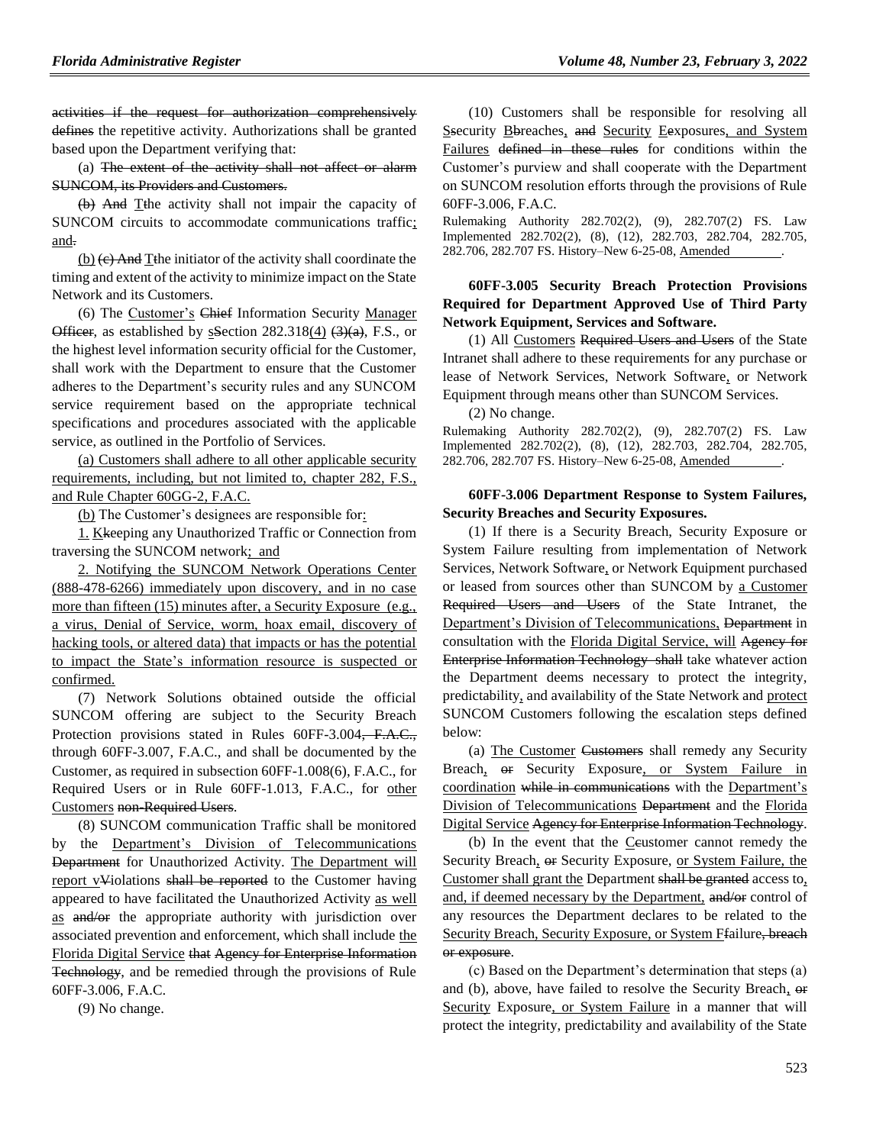activities if the request for authorization comprehensively defines the repetitive activity. Authorizations shall be granted based upon the Department verifying that:

(a) The extent of the activity shall not affect or alarm SUNCOM, its Providers and Customers.

(b) And Tthe activity shall not impair the capacity of SUNCOM circuits to accommodate communications traffic; and.

 $(b)$  (e) And Tthe initiator of the activity shall coordinate the timing and extent of the activity to minimize impact on the State Network and its Customers.

(6) The Customer's Chief Information Security Manager Officer, as established by sSection 282.318(4)  $(3)(a)$ , F.S., or the highest level information security official for the Customer, shall work with the Department to ensure that the Customer adheres to the Department's security rules and any SUNCOM service requirement based on the appropriate technical specifications and procedures associated with the applicable service, as outlined in the Portfolio of Services.

(a) Customers shall adhere to all other applicable security requirements, including, but not limited to, chapter 282, F.S., and Rule Chapter 60GG-2, F.A.C.

(b) The Customer's designees are responsible for:

1. Kkeeping any Unauthorized Traffic or Connection from traversing the SUNCOM network; and

2. Notifying the SUNCOM Network Operations Center (888-478-6266) immediately upon discovery, and in no case more than fifteen (15) minutes after, a Security Exposure (e.g., a virus, Denial of Service, worm, hoax email, discovery of hacking tools, or altered data) that impacts or has the potential to impact the State's information resource is suspected or confirmed.

(7) Network Solutions obtained outside the official SUNCOM offering are subject to the Security Breach Protection provisions stated in Rules 60FF-3.004, F.A.C., through 60FF-3.007, F.A.C., and shall be documented by the Customer, as required in subsection 60FF-1.008(6), F.A.C., for Required Users or in Rule 60FF-1.013, F.A.C., for other Customers non-Required Users.

(8) SUNCOM communication Traffic shall be monitored by the Department's Division of Telecommunications Department for Unauthorized Activity. The Department will report vViolations shall be reported to the Customer having appeared to have facilitated the Unauthorized Activity as well as and/or the appropriate authority with jurisdiction over associated prevention and enforcement, which shall include the Florida Digital Service that Agency for Enterprise Information Technology, and be remedied through the provisions of Rule 60FF-3.006, F.A.C.

(9) No change.

(10) Customers shall be responsible for resolving all Ssecurity Bbreaches, and Security Eexposures, and System Failures defined in these rules for conditions within the Customer's purview and shall cooperate with the Department on SUNCOM resolution efforts through the provisions of Rule 60FF-3.006, F.A.C.

Rulemaking Authority 282.702(2), (9), 282.707(2) FS. Law Implemented 282.702(2), (8), (12), 282.703, 282.704, 282.705, 282.706, 282.707 FS. History–New 6-25-08, Amended .

### **60FF-3.005 Security Breach Protection Provisions Required for Department Approved Use of Third Party Network Equipment, Services and Software.**

(1) All Customers Required Users and Users of the State Intranet shall adhere to these requirements for any purchase or lease of Network Services, Network Software, or Network Equipment through means other than SUNCOM Services.

(2) No change.

Rulemaking Authority 282.702(2), (9), 282.707(2) FS. Law Implemented 282.702(2), (8), (12), 282.703, 282.704, 282.705, 282.706, 282.707 FS. History-New 6-25-08, Amended

#### **60FF-3.006 Department Response to System Failures, Security Breaches and Security Exposures.**

(1) If there is a Security Breach, Security Exposure or System Failure resulting from implementation of Network Services, Network Software, or Network Equipment purchased or leased from sources other than SUNCOM by a Customer Required Users and Users of the State Intranet, the Department's Division of Telecommunications, Department in consultation with the Florida Digital Service, will Agency for Enterprise Information Technology shall take whatever action the Department deems necessary to protect the integrity, predictability, and availability of the State Network and protect SUNCOM Customers following the escalation steps defined below:

(a) The Customer Customers shall remedy any Security Breach, or Security Exposure, or System Failure in coordination while in communications with the Department's Division of Telecommunications Department and the Florida Digital Service Agency for Enterprise Information Technology.

(b) In the event that the Ceustomer cannot remedy the Security Breach, or Security Exposure, or System Failure, the Customer shall grant the Department shall be granted access to, and, if deemed necessary by the Department, and/or control of any resources the Department declares to be related to the Security Breach, Security Exposure, or System Ffailure<del>, breach</del> or exposure.

(c) Based on the Department's determination that steps (a) and (b), above, have failed to resolve the Security Breach,  $\theta$ Security Exposure, or System Failure in a manner that will protect the integrity, predictability and availability of the State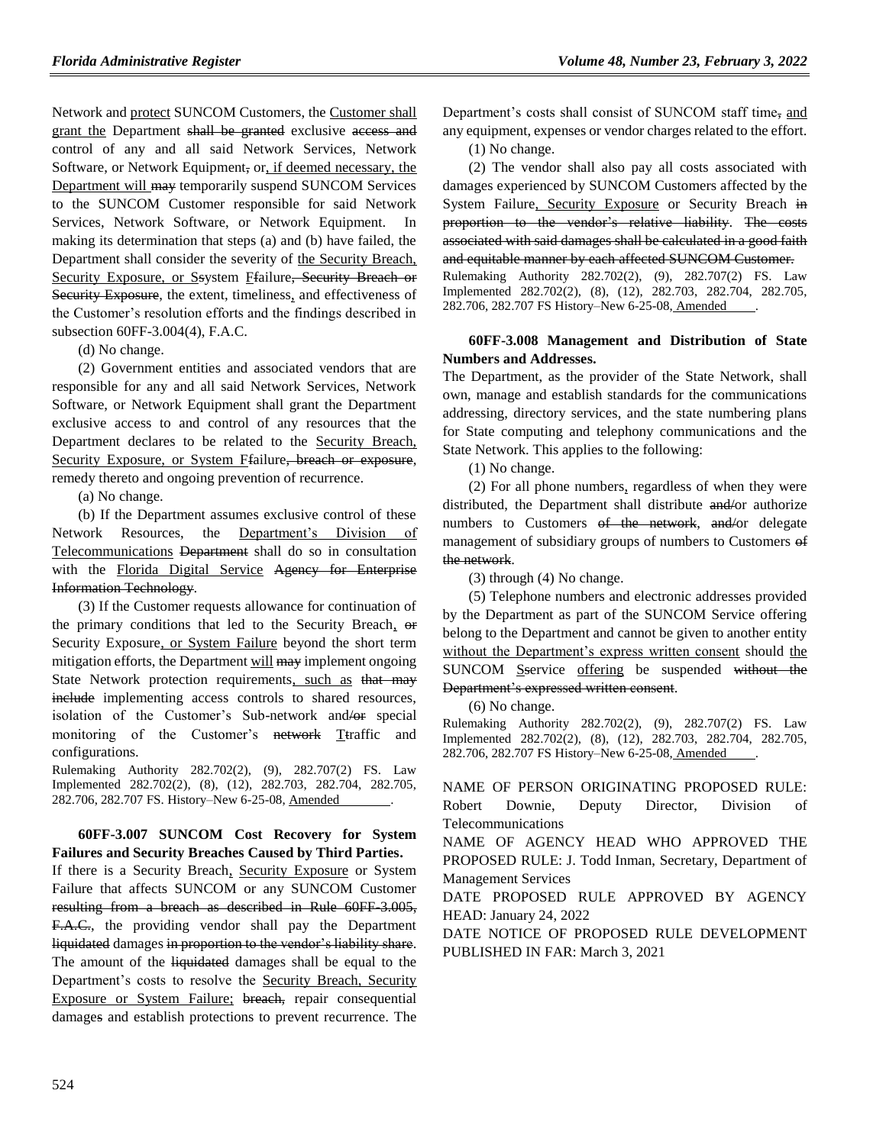Network and protect SUNCOM Customers, the Customer shall grant the Department shall be granted exclusive access and control of any and all said Network Services, Network Software, or Network Equipment, or, if deemed necessary, the Department will may temporarily suspend SUNCOM Services to the SUNCOM Customer responsible for said Network Services, Network Software, or Network Equipment. In making its determination that steps (a) and (b) have failed, the Department shall consider the severity of the Security Breach, Security Exposure, or Ssystem Ffailure, Security Breach or Security Exposure, the extent, timeliness, and effectiveness of the Customer's resolution efforts and the findings described in subsection 60FF-3.004(4), F.A.C.

(d) No change.

(2) Government entities and associated vendors that are responsible for any and all said Network Services, Network Software, or Network Equipment shall grant the Department exclusive access to and control of any resources that the Department declares to be related to the Security Breach, Security Exposure, or System Ffailure, breach or exposure, remedy thereto and ongoing prevention of recurrence.

(a) No change.

(b) If the Department assumes exclusive control of these Network Resources, the Department's Division of Telecommunications Department shall do so in consultation with the Florida Digital Service Agency for Enterprise Information Technology.

(3) If the Customer requests allowance for continuation of the primary conditions that led to the Security Breach, or Security Exposure, or System Failure beyond the short term mitigation efforts, the Department will may implement ongoing State Network protection requirements, such as that may include implementing access controls to shared resources, isolation of the Customer's Sub-network and/or special monitoring of the Customer's network Ttraffic and configurations.

Rulemaking Authority 282.702(2), (9), 282.707(2) FS. Law Implemented 282.702(2), (8), (12), 282.703, 282.704, 282.705, 282.706, 282.707 FS. History–New 6-25-08, Amended .

### **60FF-3.007 SUNCOM Cost Recovery for System Failures and Security Breaches Caused by Third Parties.**

If there is a Security Breach, Security Exposure or System Failure that affects SUNCOM or any SUNCOM Customer resulting from a breach as described in Rule 60FF 3.005, F.A.C., the providing vendor shall pay the Department liquidated damages in proportion to the vendor's liability share. The amount of the liquidated damages shall be equal to the Department's costs to resolve the Security Breach, Security Exposure or System Failure; breach, repair consequential damages and establish protections to prevent recurrence. The Department's costs shall consist of SUNCOM staff time, and any equipment, expenses or vendor charges related to the effort.

(1) No change.

(2) The vendor shall also pay all costs associated with damages experienced by SUNCOM Customers affected by the System Failure, Security Exposure or Security Breach in proportion to the vendor's relative liability. The costs associated with said damages shall be calculated in a good faith and equitable manner by each affected SUNCOM Customer. Rulemaking Authority 282.702(2), (9), 282.707(2) FS. Law Implemented 282.702(2), (8), (12), 282.703, 282.704, 282.705,

282.706, 282.707 FS History–New 6-25-08, Amended .

## **60FF-3.008 Management and Distribution of State Numbers and Addresses.**

The Department, as the provider of the State Network, shall own, manage and establish standards for the communications addressing, directory services, and the state numbering plans for State computing and telephony communications and the State Network. This applies to the following:

(1) No change.

(2) For all phone numbers, regardless of when they were distributed, the Department shall distribute and/or authorize numbers to Customers of the network, and/or delegate management of subsidiary groups of numbers to Customers of the network.

(3) through (4) No change.

(5) Telephone numbers and electronic addresses provided by the Department as part of the SUNCOM Service offering belong to the Department and cannot be given to another entity without the Department's express written consent should the SUNCOM Sservice offering be suspended without the Department's expressed written consent.

(6) No change.

Rulemaking Authority 282.702(2), (9), 282.707(2) FS. Law Implemented 282.702(2), (8), (12), 282.703, 282.704, 282.705, 282.706, 282.707 FS History–New 6-25-08, Amended .

NAME OF PERSON ORIGINATING PROPOSED RULE: Robert Downie, Deputy Director, Division of Telecommunications

NAME OF AGENCY HEAD WHO APPROVED THE PROPOSED RULE: J. Todd Inman, Secretary, Department of Management Services

DATE PROPOSED RULE APPROVED BY AGENCY HEAD: January 24, 2022

DATE NOTICE OF PROPOSED RULE DEVELOPMENT PUBLISHED IN FAR: March 3, 2021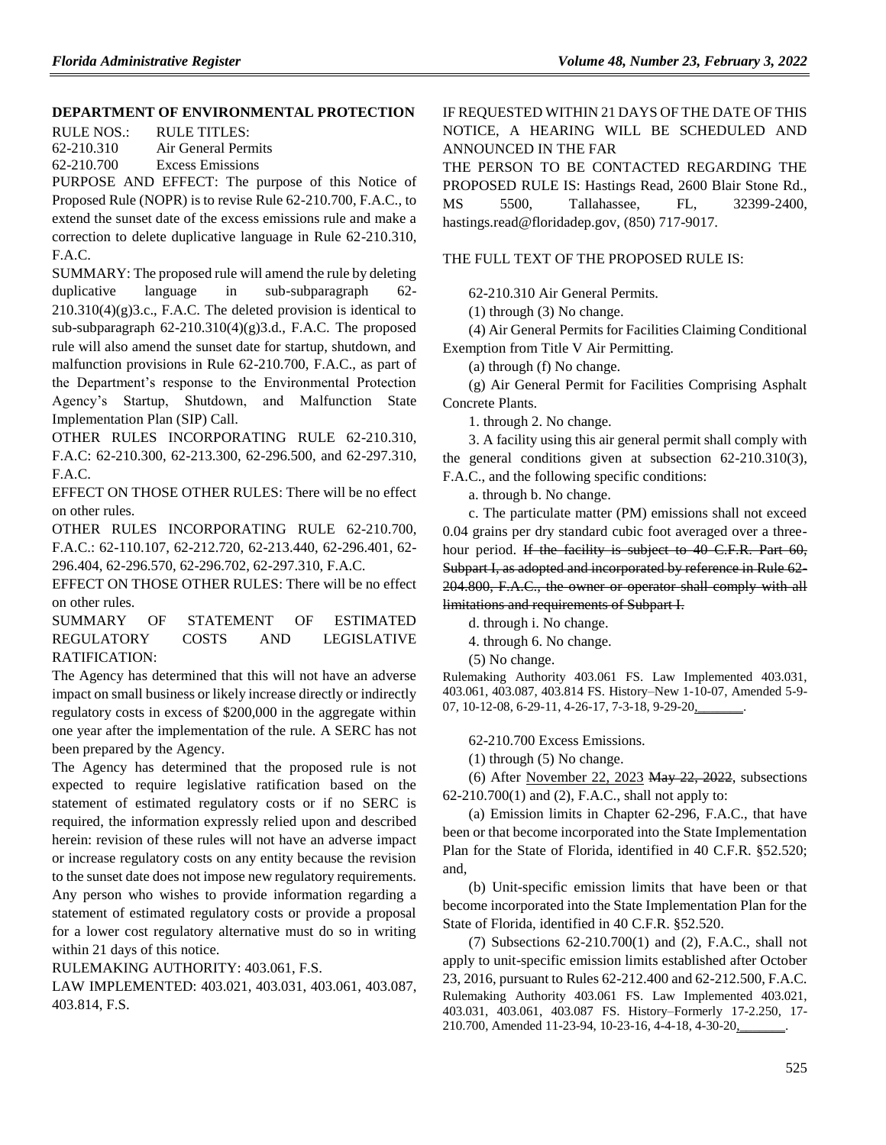### **[DEPARTMENT OF ENVIRONMENTAL PROTECTION](https://www.flrules.org/gateway/department.asp?id=62)**

RULE NOS.: RULE TITLES: 62-210.310 Air General Permits 62-210.700 Excess Emissions

PURPOSE AND EFFECT: The purpose of this Notice of Proposed Rule (NOPR) is to revise Rule 62-210.700, F.A.C., to extend the sunset date of the excess emissions rule and make a correction to delete duplicative language in Rule 62-210.310, F.A.C.

SUMMARY: The proposed rule will amend the rule by deleting duplicative language in sub-subparagraph 62- 210.310(4)(g)3.c., F.A.C. The deleted provision is identical to sub-subparagraph 62-210.310(4)(g)3.d., F.A.C. The proposed rule will also amend the sunset date for startup, shutdown, and malfunction provisions in Rule 62-210.700, F.A.C., as part of the Department's response to the Environmental Protection Agency's Startup, Shutdown, and Malfunction State Implementation Plan (SIP) Call.

OTHER RULES INCORPORATING RULE 62-210.310, F.A.C: 62-210.300, 62-213.300, 62-296.500, and 62-297.310, F.A.C.

EFFECT ON THOSE OTHER RULES: There will be no effect on other rules.

OTHER RULES INCORPORATING RULE 62-210.700, F.A.C.: 62-110.107, 62-212.720, 62-213.440, 62-296.401, 62- 296.404, 62-296.570, 62-296.702, 62-297.310, F.A.C.

EFFECT ON THOSE OTHER RULES: There will be no effect on other rules.

SUMMARY OF STATEMENT OF ESTIMATED REGULATORY COSTS AND LEGISLATIVE RATIFICATION:

The Agency has determined that this will not have an adverse impact on small business or likely increase directly or indirectly regulatory costs in excess of \$200,000 in the aggregate within one year after the implementation of the rule. A SERC has not been prepared by the Agency.

The Agency has determined that the proposed rule is not expected to require legislative ratification based on the statement of estimated regulatory costs or if no SERC is required, the information expressly relied upon and described herein: revision of these rules will not have an adverse impact or increase regulatory costs on any entity because the revision to the sunset date does not impose new regulatory requirements. Any person who wishes to provide information regarding a

statement of estimated regulatory costs or provide a proposal for a lower cost regulatory alternative must do so in writing within 21 days of this notice.

RULEMAKING AUTHORITY: 403.061, F.S.

LAW IMPLEMENTED: 403.021, 403.031, 403.061, 403.087, 403.814, F.S.

IF REQUESTED WITHIN 21 DAYS OF THE DATE OF THIS NOTICE, A HEARING WILL BE SCHEDULED AND ANNOUNCED IN THE FAR THE PERSON TO BE CONTACTED REGARDING THE PROPOSED RULE IS: Hastings Read, 2600 Blair Stone Rd., MS 5500, Tallahassee, FL, 32399-2400, [hastings.read@floridadep.gov,](mailto:hastings.read@floridadep.gov) (850) 717-9017.

### THE FULL TEXT OF THE PROPOSED RULE IS:

62-210.310 Air General Permits.

(1) through (3) No change.

(4) Air General Permits for Facilities Claiming Conditional Exemption from Title V Air Permitting.

(a) through (f) No change.

(g) Air General Permit for Facilities Comprising Asphalt Concrete Plants.

1. through 2. No change.

3. A facility using this air general permit shall comply with the general conditions given at subsection 62-210.310(3), F.A.C., and the following specific conditions:

a. through b. No change.

c. The particulate matter (PM) emissions shall not exceed 0.04 grains per dry standard cubic foot averaged over a threehour period. If the facility is subject to 40 C.F.R. Part 60, Subpart I, as adopted and incorporated by reference in Rule 62-204.800, F.A.C., the owner or operator shall comply with all limitations and requirements of Subpart I.

d. through i. No change.

4. through 6. No change.

(5) No change.

Rulemaking Authority 403.061 FS. Law Implemented 403.031, 403.061, 403.087, 403.814 FS. History–New 1-10-07, Amended 5-9- 07, 10-12-08, 6-29-11, 4-26-17, 7-3-18, 9-29-20,

62-210.700 Excess Emissions.

(1) through (5) No change.

(6) After November 22, 2023 May  $22$ ,  $2022$ , subsections 62-210.700(1) and (2), F.A.C., shall not apply to:

(a) Emission limits in Chapter 62-296, F.A.C., that have been or that become incorporated into the State Implementation Plan for the State of Florida, identified in 40 C.F.R. §52.520; and,

(b) Unit-specific emission limits that have been or that become incorporated into the State Implementation Plan for the State of Florida, identified in 40 C.F.R. §52.520.

(7) Subsections 62-210.700(1) and (2), F.A.C., shall not apply to unit-specific emission limits established after October 23, 2016, pursuant to Rules 62-212.400 and 62-212.500, F.A.C. Rulemaking Authority 403.061 FS. Law Implemented 403.021, 403.031, 403.061, 403.087 FS. History–Formerly 17-2.250, 17- 210.700, Amended 11-23-94, 10-23-16, 4-4-18, 4-30-20,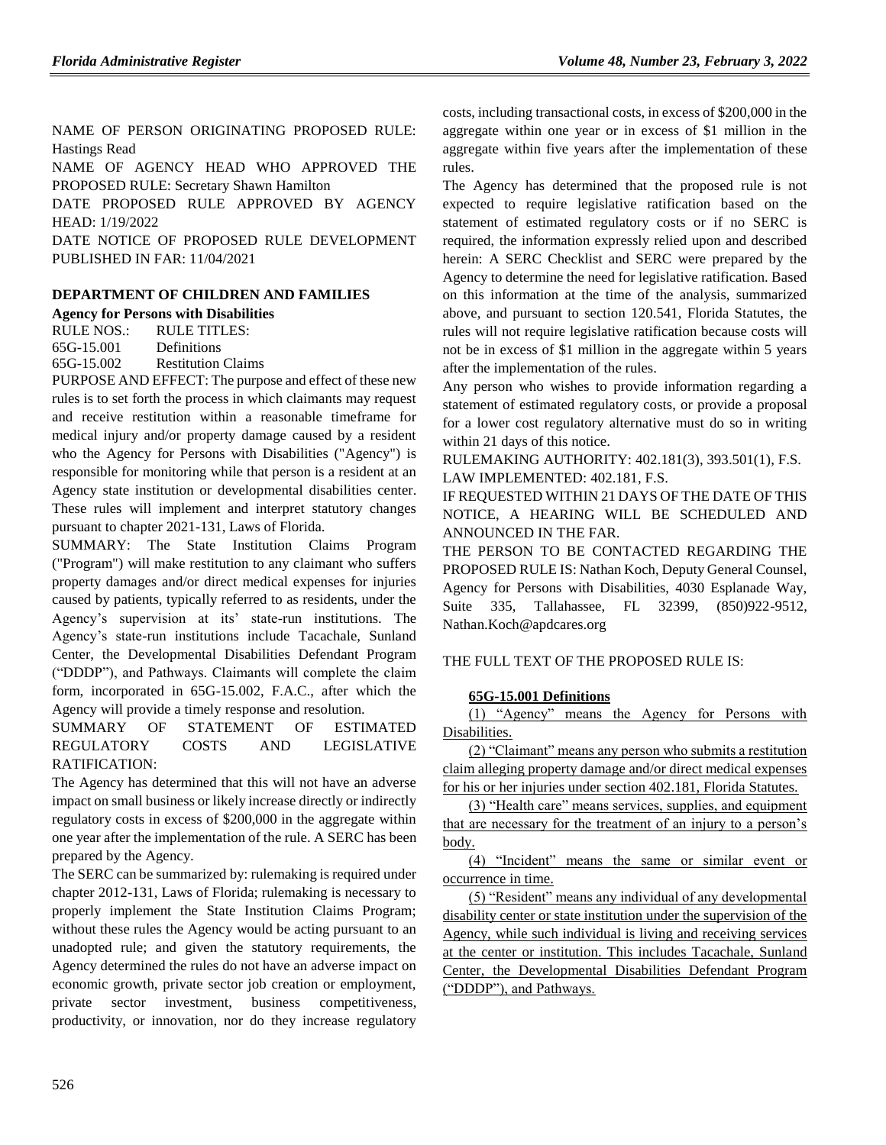NAME OF PERSON ORIGINATING PROPOSED RULE: Hastings Read

NAME OF AGENCY HEAD WHO APPROVED THE PROPOSED RULE: Secretary Shawn Hamilton

DATE PROPOSED RULE APPROVED BY AGENCY HEAD: 1/19/2022

DATE NOTICE OF PROPOSED RULE DEVELOPMENT PUBLISHED IN FAR: 11/04/2021

# **[DEPARTMENT OF CHILDREN AND FAMILIES](https://www.flrules.org/gateway/department.asp?id=65)**

**[Agency for Persons with Disabilities](https://www.flrules.org/gateway/organization.asp?id=560)**

RULE NOS.: RULE TITLES: [65G-15.001](https://www.flrules.org/gateway/ruleNo.asp?id=65G-15.001) Definitions [65G-15.002](https://www.flrules.org/gateway/ruleNo.asp?id=65G-15.002) Restitution Claims

PURPOSE AND EFFECT: The purpose and effect of these new rules is to set forth the process in which claimants may request and receive restitution within a reasonable timeframe for medical injury and/or property damage caused by a resident who the Agency for Persons with Disabilities ("Agency") is responsible for monitoring while that person is a resident at an Agency state institution or developmental disabilities center. These rules will implement and interpret statutory changes pursuant to chapter 2021-131, Laws of Florida.

SUMMARY: The State Institution Claims Program ("Program") will make restitution to any claimant who suffers property damages and/or direct medical expenses for injuries caused by patients, typically referred to as residents, under the Agency's supervision at its' state-run institutions. The Agency's state-run institutions include Tacachale, Sunland Center, the Developmental Disabilities Defendant Program ("DDDP"), and Pathways. Claimants will complete the claim form, incorporated in 65G-15.002, F.A.C., after which the Agency will provide a timely response and resolution.

## SUMMARY OF STATEMENT OF ESTIMATED REGULATORY COSTS AND LEGISLATIVE RATIFICATION:

The Agency has determined that this will not have an adverse impact on small business or likely increase directly or indirectly regulatory costs in excess of \$200,000 in the aggregate within one year after the implementation of the rule. A SERC has been prepared by the Agency.

The SERC can be summarized by: rulemaking is required under chapter 2012-131, Laws of Florida; rulemaking is necessary to properly implement the State Institution Claims Program; without these rules the Agency would be acting pursuant to an unadopted rule; and given the statutory requirements, the Agency determined the rules do not have an adverse impact on economic growth, private sector job creation or employment, private sector investment, business competitiveness, productivity, or innovation, nor do they increase regulatory costs, including transactional costs, in excess of \$200,000 in the aggregate within one year or in excess of \$1 million in the aggregate within five years after the implementation of these rules.

The Agency has determined that the proposed rule is not expected to require legislative ratification based on the statement of estimated regulatory costs or if no SERC is required, the information expressly relied upon and described herein: A SERC Checklist and SERC were prepared by the Agency to determine the need for legislative ratification. Based on this information at the time of the analysis, summarized above, and pursuant to section 120.541, Florida Statutes, the rules will not require legislative ratification because costs will not be in excess of \$1 million in the aggregate within 5 years after the implementation of the rules.

Any person who wishes to provide information regarding a statement of estimated regulatory costs, or provide a proposal for a lower cost regulatory alternative must do so in writing within 21 days of this notice.

RULEMAKING AUTHORITY: [402.181\(3\),](https://www.flrules.org/gateway/statute.asp?id=402.181(3)) [393.501\(1\),](https://www.flrules.org/gateway/statute.asp?id=%20393.501(1)) F.S. LAW IMPLEMENTED: [402.181,](https://www.flrules.org/gateway/statute.asp?id=402.181) F.S.

IF REQUESTED WITHIN 21 DAYS OF THE DATE OF THIS NOTICE, A HEARING WILL BE SCHEDULED AND ANNOUNCED IN THE FAR.

THE PERSON TO BE CONTACTED REGARDING THE PROPOSED RULE IS: Nathan Koch, Deputy General Counsel, Agency for Persons with Disabilities, 4030 Esplanade Way, Suite 335, Tallahassee, FL 32399, (850)922-9512, Nathan.Koch@apdcares.org

## THE FULL TEXT OF THE PROPOSED RULE IS:

## **65G-15.001 Definitions**

(1) "Agency" means the Agency for Persons with Disabilities.

(2) "Claimant" means any person who submits a restitution claim alleging property damage and/or direct medical expenses for his or her injuries under section 402.181, Florida Statutes.

(3) "Health care" means services, supplies, and equipment that are necessary for the treatment of an injury to a person's body.

(4) "Incident" means the same or similar event or occurrence in time.

(5) "Resident" means any individual of any developmental disability center or state institution under the supervision of the Agency, while such individual is living and receiving services at the center or institution. This includes Tacachale, Sunland Center, the Developmental Disabilities Defendant Program ("DDDP"), and Pathways.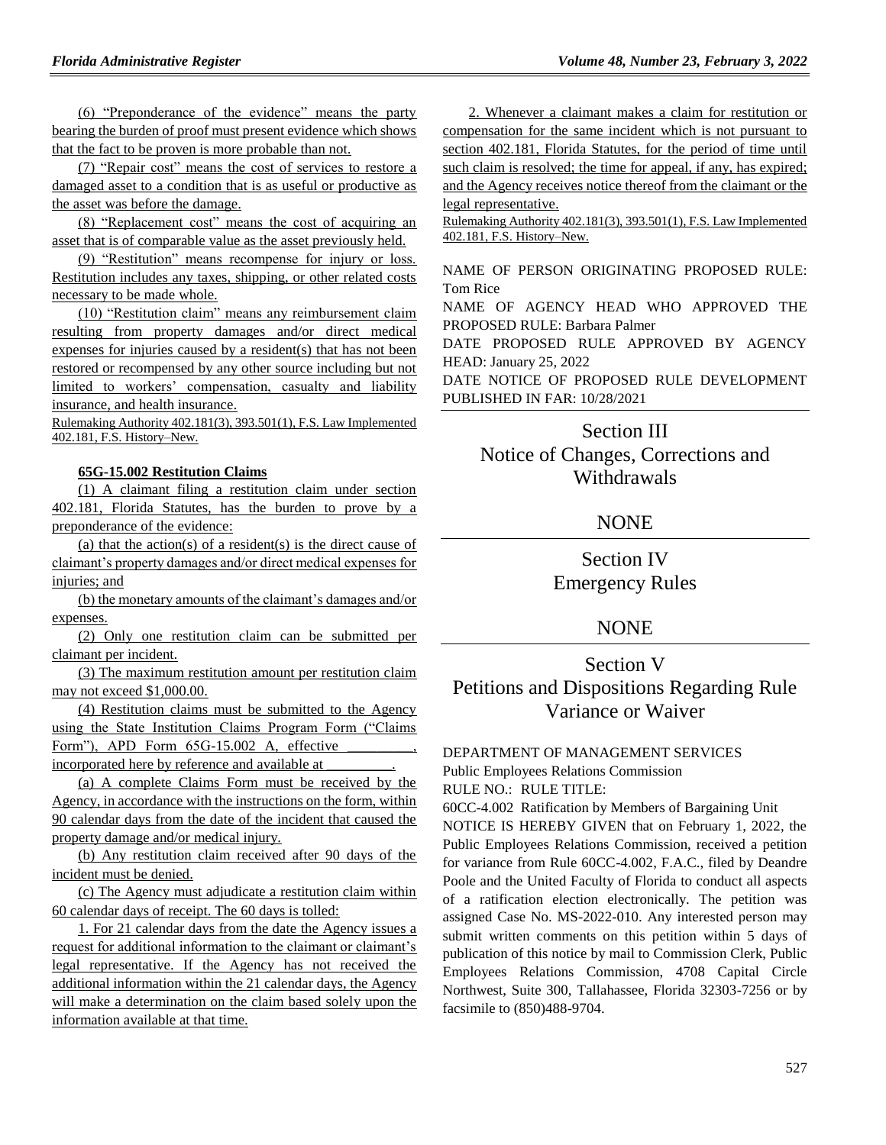(6) "Preponderance of the evidence" means the party bearing the burden of proof must present evidence which shows that the fact to be proven is more probable than not.

(7) "Repair cost" means the cost of services to restore a damaged asset to a condition that is as useful or productive as the asset was before the damage.

(8) "Replacement cost" means the cost of acquiring an asset that is of comparable value as the asset previously held.

(9) "Restitution" means recompense for injury or loss. Restitution includes any taxes, shipping, or other related costs necessary to be made whole.

(10) "Restitution claim" means any reimbursement claim resulting from property damages and/or direct medical expenses for injuries caused by a resident(s) that has not been restored or recompensed by any other source including but not limited to workers' compensation, casualty and liability insurance, and health insurance.

Rulemaking Authority 402.181(3), 393.501(1), F.S. Law Implemented 402.181, F.S. History–New.

## **65G-15.002 Restitution Claims**

(1) A claimant filing a restitution claim under section 402.181, Florida Statutes, has the burden to prove by a preponderance of the evidence:

(a) that the action(s) of a resident(s) is the direct cause of claimant's property damages and/or direct medical expenses for injuries; and

(b) the monetary amounts of the claimant's damages and/or expenses.

(2) Only one restitution claim can be submitted per claimant per incident.

(3) The maximum restitution amount per restitution claim may not exceed \$1,000.00.

(4) Restitution claims must be submitted to the Agency using the State Institution Claims Program Form ("Claims Form"), APD Form  $65G-15.002$  A, effective incorporated here by reference and available at \_\_\_\_\_\_\_\_\_.

(a) A complete Claims Form must be received by the Agency, in accordance with the instructions on the form, within 90 calendar days from the date of the incident that caused the property damage and/or medical injury.

(b) Any restitution claim received after 90 days of the incident must be denied.

(c) The Agency must adjudicate a restitution claim within 60 calendar days of receipt. The 60 days is tolled:

1. For 21 calendar days from the date the Agency issues a request for additional information to the claimant or claimant's legal representative. If the Agency has not received the additional information within the 21 calendar days, the Agency will make a determination on the claim based solely upon the information available at that time.

2. Whenever a claimant makes a claim for restitution or compensation for the same incident which is not pursuant to section 402.181, Florida Statutes, for the period of time until such claim is resolved; the time for appeal, if any, has expired; and the Agency receives notice thereof from the claimant or the legal representative.

Rulemaking Authority 402.181(3), 393.501(1), F.S. Law Implemented 402.181, F.S. History–New.

NAME OF PERSON ORIGINATING PROPOSED RULE: Tom Rice

NAME OF AGENCY HEAD WHO APPROVED THE PROPOSED RULE: Barbara Palmer

DATE PROPOSED RULE APPROVED BY AGENCY HEAD: January 25, 2022

DATE NOTICE OF PROPOSED RULE DEVELOPMENT PUBLISHED IN FAR: 10/28/2021

# Section III Notice of Changes, Corrections and Withdrawals

### NONE

# Section IV Emergency Rules

## **NONE**

# Section V Petitions and Dispositions Regarding Rule Variance or Waiver

#### [DEPARTMENT OF MANAGEMENT SERVICES](https://www.flrules.org/gateway/department.asp?id=60)

[Public Employees Relations Commission](https://www.flrules.org/gateway/organization.asp?id=502)

RULE NO.: RULE TITLE:

[60CC-4.002](https://www.flrules.org/gateway/ruleNo.asp?id=60CC-4.002) Ratification by Members of Bargaining Unit

NOTICE IS HEREBY GIVEN that on February 1, 2022, the Public Employees Relations Commission, received a petition for variance from Rule 60CC-4.002, F.A.C., filed by Deandre Poole and the United Faculty of Florida to conduct all aspects of a ratification election electronically. The petition was assigned Case No. MS-2022-010. Any interested person may submit written comments on this petition within 5 days of publication of this notice by mail to Commission Clerk, Public Employees Relations Commission, 4708 Capital Circle Northwest, Suite 300, Tallahassee, Florida 32303-7256 or by facsimile to (850)488-9704.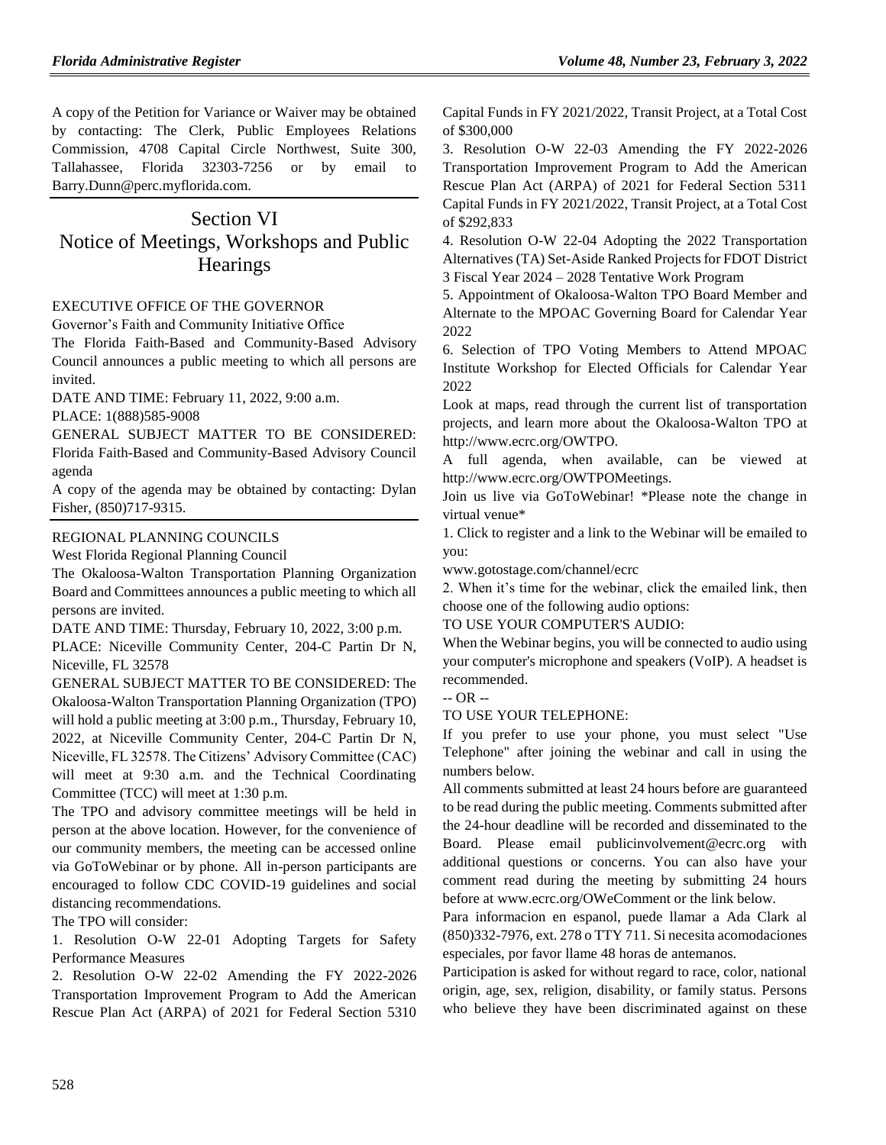A copy of the Petition for Variance or Waiver may be obtained by contacting: The Clerk, Public Employees Relations Commission, 4708 Capital Circle Northwest, Suite 300, Tallahassee, Florida 32303-7256 or by email to Barry.Dunn@perc.myflorida.com.

# Section VI Notice of Meetings, Workshops and Public **Hearings**

### [EXECUTIVE OFFICE OF THE GOVERNOR](https://www.flrules.org/gateway/department.asp?id=27)

[Governor's Faith and Community Initiative Office](https://www.flrules.org/gateway/organization.asp?id=1433)

The Florida Faith-Based and Community-Based Advisory Council announces a public meeting to which all persons are invited.

DATE AND TIME: February 11, 2022, 9:00 a.m.

PLACE: 1(888)585-9008

GENERAL SUBJECT MATTER TO BE CONSIDERED: Florida Faith-Based and Community-Based Advisory Council agenda

A copy of the agenda may be obtained by contacting: Dylan Fisher, (850)717-9315.

#### [REGIONAL PLANNING COUNCILS](https://www.flrules.org/gateway/department.asp?id=29)

[West Florida Regional Planning Council](https://www.flrules.org/gateway/organization.asp?id=57)

The Okaloosa-Walton Transportation Planning Organization Board and Committees announces a public meeting to which all persons are invited.

DATE AND TIME: Thursday, February 10, 2022, 3:00 p.m.

PLACE: Niceville Community Center, 204-C Partin Dr N, Niceville, FL 32578

GENERAL SUBJECT MATTER TO BE CONSIDERED: The Okaloosa-Walton Transportation Planning Organization (TPO) will hold a public meeting at 3:00 p.m., Thursday, February 10, 2022, at Niceville Community Center, 204-C Partin Dr N, Niceville, FL 32578. The Citizens' Advisory Committee (CAC) will meet at 9:30 a.m. and the Technical Coordinating Committee (TCC) will meet at 1:30 p.m.

The TPO and advisory committee meetings will be held in person at the above location. However, for the convenience of our community members, the meeting can be accessed online via GoToWebinar or by phone. All in-person participants are encouraged to follow CDC COVID-19 guidelines and social distancing recommendations.

The TPO will consider:

1. Resolution O-W 22-01 Adopting Targets for Safety Performance Measures

2. Resolution O-W 22-02 Amending the FY 2022-2026 Transportation Improvement Program to Add the American Rescue Plan Act (ARPA) of 2021 for Federal Section 5310 Capital Funds in FY 2021/2022, Transit Project, at a Total Cost of \$300,000

3. Resolution O-W 22-03 Amending the FY 2022-2026 Transportation Improvement Program to Add the American Rescue Plan Act (ARPA) of 2021 for Federal Section 5311 Capital Funds in FY 2021/2022, Transit Project, at a Total Cost of \$292,833

4. Resolution O-W 22-04 Adopting the 2022 Transportation Alternatives (TA) Set-Aside Ranked Projects for FDOT District 3 Fiscal Year 2024 – 2028 Tentative Work Program

5. Appointment of Okaloosa-Walton TPO Board Member and Alternate to the MPOAC Governing Board for Calendar Year 2022

6. Selection of TPO Voting Members to Attend MPOAC Institute Workshop for Elected Officials for Calendar Year 2022

Look at maps, read through the current list of transportation projects, and learn more about the Okaloosa-Walton TPO at http://www.ecrc.org/OWTPO.

A full agenda, when available, can be viewed at http://www.ecrc.org/OWTPOMeetings.

Join us live via GoToWebinar! \*Please note the change in virtual venue\*

1. Click to register and a link to the Webinar will be emailed to you:

www.gotostage.com/channel/ecrc

2. When it's time for the webinar, click the emailed link, then choose one of the following audio options:

#### TO USE YOUR COMPUTER'S AUDIO:

When the Webinar begins, you will be connected to audio using your computer's microphone and speakers (VoIP). A headset is recommended.

-- OR --

### TO USE YOUR TELEPHONE:

If you prefer to use your phone, you must select "Use Telephone" after joining the webinar and call in using the numbers below.

All comments submitted at least 24 hours before are guaranteed to be read during the public meeting. Comments submitted after the 24-hour deadline will be recorded and disseminated to the Board. Please email publicinvolvement@ecrc.org with additional questions or concerns. You can also have your comment read during the meeting by submitting 24 hours before at www.ecrc.org/OWeComment or the link below.

Para informacion en espanol, puede llamar a Ada Clark al (850)332-7976, ext. 278 o TTY 711. Si necesita acomodaciones especiales, por favor llame 48 horas de antemanos.

Participation is asked for without regard to race, color, national origin, age, sex, religion, disability, or family status. Persons who believe they have been discriminated against on these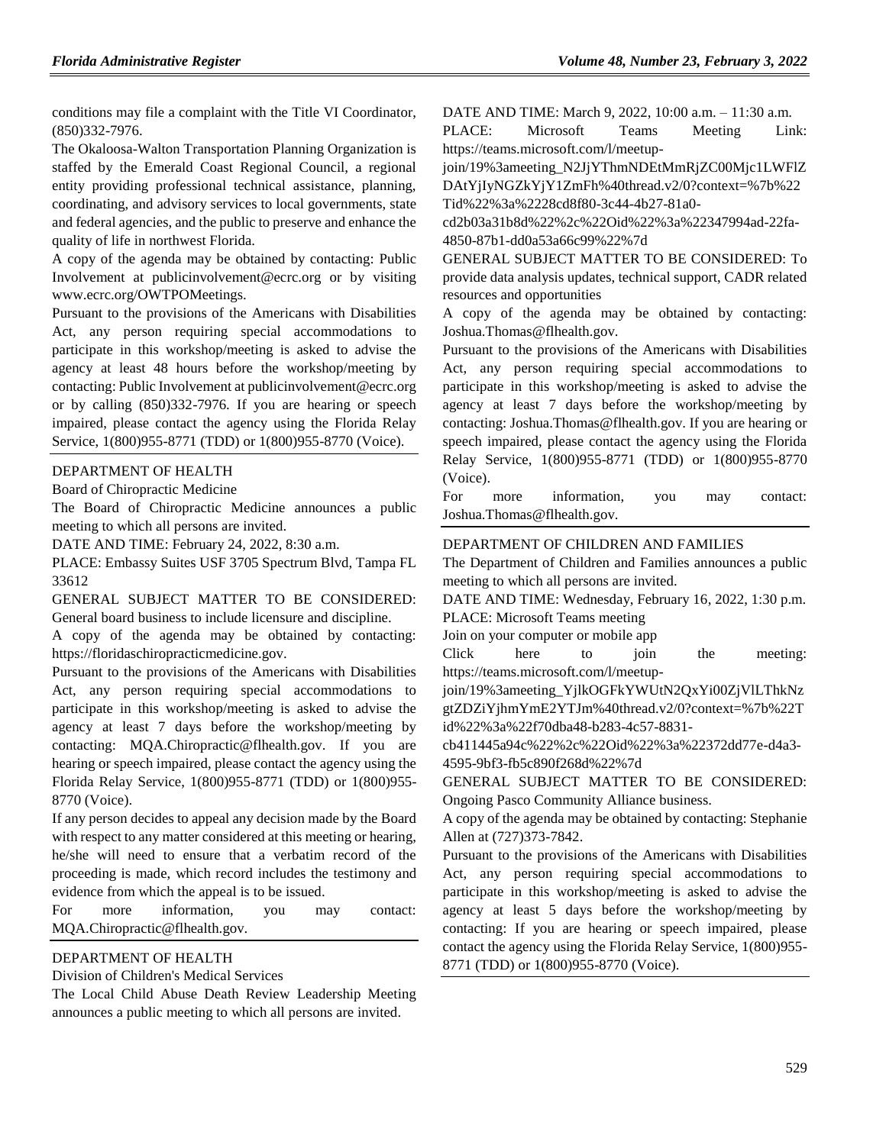conditions may file a complaint with the Title VI Coordinator, (850)332-7976.

The Okaloosa-Walton Transportation Planning Organization is staffed by the Emerald Coast Regional Council, a regional entity providing professional technical assistance, planning, coordinating, and advisory services to local governments, state and federal agencies, and the public to preserve and enhance the quality of life in northwest Florida.

A copy of the agenda may be obtained by contacting: Public Involvement at publicinvolvement@ecrc.org or by visiting www.ecrc.org/OWTPOMeetings.

Pursuant to the provisions of the Americans with Disabilities Act, any person requiring special accommodations to participate in this workshop/meeting is asked to advise the agency at least 48 hours before the workshop/meeting by contacting: Public Involvement at publicinvolvement@ecrc.org or by calling (850)332-7976. If you are hearing or speech impaired, please contact the agency using the Florida Relay Service, 1(800)955-8771 (TDD) or 1(800)955-8770 (Voice).

#### [DEPARTMENT OF HEALTH](https://www.flrules.org/gateway/department.asp?id=64)

[Board of Chiropractic Medicine](https://www.flrules.org/gateway/organization.asp?id=311)

The Board of Chiropractic Medicine announces a public meeting to which all persons are invited.

DATE AND TIME: February 24, 2022, 8:30 a.m.

PLACE: Embassy Suites USF 3705 Spectrum Blvd, Tampa FL 33612

GENERAL SUBJECT MATTER TO BE CONSIDERED: General board business to include licensure and discipline.

A copy of the agenda may be obtained by contacting: https://floridaschiropracticmedicine.gov.

Pursuant to the provisions of the Americans with Disabilities Act, any person requiring special accommodations to participate in this workshop/meeting is asked to advise the agency at least 7 days before the workshop/meeting by contacting: MQA.Chiropractic@flhealth.gov. If you are hearing or speech impaired, please contact the agency using the Florida Relay Service, 1(800)955-8771 (TDD) or 1(800)955- 8770 (Voice).

If any person decides to appeal any decision made by the Board with respect to any matter considered at this meeting or hearing, he/she will need to ensure that a verbatim record of the proceeding is made, which record includes the testimony and evidence from which the appeal is to be issued.

For more information, you may contact: MQA.Chiropractic@flhealth.gov.

#### [DEPARTMENT OF HEALTH](https://www.flrules.org/gateway/department.asp?id=64)

[Division of Children's Medical Services](https://www.flrules.org/gateway/organization.asp?id=333)

The Local Child Abuse Death Review Leadership Meeting announces a public meeting to which all persons are invited.

DATE AND TIME: March 9, 2022, 10:00 a.m. – 11:30 a.m.

PLACE: Microsoft Teams Meeting Link: https://teams.microsoft.com/l/meetup-

join/19%3ameeting\_N2JjYThmNDEtMmRjZC00Mjc1LWFlZ DAtYjIyNGZkYjY1ZmFh%40thread.v2/0?context=%7b%22 Tid%22%3a%2228cd8f80-3c44-4b27-81a0-

cd2b03a31b8d%22%2c%22Oid%22%3a%22347994ad-22fa-4850-87b1-dd0a53a66c99%22%7d

GENERAL SUBJECT MATTER TO BE CONSIDERED: To provide data analysis updates, technical support, CADR related resources and opportunities

A copy of the agenda may be obtained by contacting: Joshua.Thomas@flhealth.gov.

Pursuant to the provisions of the Americans with Disabilities Act, any person requiring special accommodations to participate in this workshop/meeting is asked to advise the agency at least 7 days before the workshop/meeting by contacting: Joshua.Thomas@flhealth.gov. If you are hearing or speech impaired, please contact the agency using the Florida Relay Service, 1(800)955-8771 (TDD) or 1(800)955-8770 (Voice).

For more information, you may contact: Joshua.Thomas@flhealth.gov.

#### [DEPARTMENT OF CHILDREN AND FAMILIES](https://www.flrules.org/gateway/department.asp?id=65)

The Department of Children and Families announces a public meeting to which all persons are invited.

DATE AND TIME: Wednesday, February 16, 2022, 1:30 p.m. PLACE: Microsoft Teams meeting

Join on your computer or mobile app

Click here to join the meeting: https://teams.microsoft.com/l/meetup-

join/19%3ameeting\_YjlkOGFkYWUtN2QxYi00ZjVlLThkNz gtZDZiYjhmYmE2YTJm%40thread.v2/0?context=%7b%22T id%22%3a%22f70dba48-b283-4c57-8831-

cb411445a94c%22%2c%22Oid%22%3a%22372dd77e-d4a3- 4595-9bf3-fb5c890f268d%22%7d

GENERAL SUBJECT MATTER TO BE CONSIDERED: Ongoing Pasco Community Alliance business.

A copy of the agenda may be obtained by contacting: Stephanie Allen at (727)373-7842.

Pursuant to the provisions of the Americans with Disabilities Act, any person requiring special accommodations to participate in this workshop/meeting is asked to advise the agency at least 5 days before the workshop/meeting by contacting: If you are hearing or speech impaired, please contact the agency using the Florida Relay Service, 1(800)955- 8771 (TDD) or 1(800)955-8770 (Voice).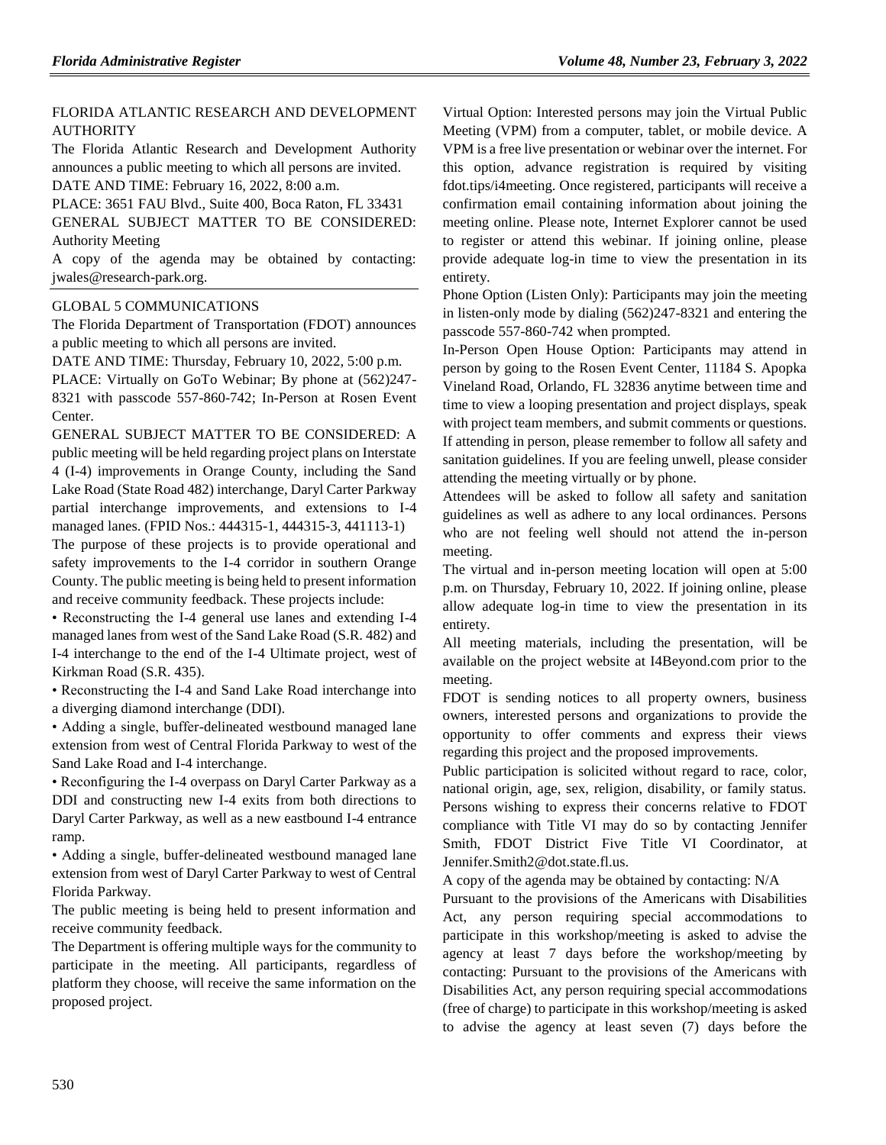## FLORIDA ATLANTIC [RESEARCH AND DEVELOPMENT](https://www.flrules.org/gateway/organization.asp?id=576)  **[AUTHORITY](https://www.flrules.org/gateway/organization.asp?id=576)**

The Florida Atlantic Research and Development Authority announces a public meeting to which all persons are invited. DATE AND TIME: February 16, 2022, 8:00 a.m.

PLACE: 3651 FAU Blvd., Suite 400, Boca Raton, FL 33431 GENERAL SUBJECT MATTER TO BE CONSIDERED: Authority Meeting

A copy of the agenda may be obtained by contacting: jwales@research-park.org.

### [GLOBAL 5 COMMUNICATIONS](https://www.flrules.org/gateway/organization.asp?id=995)

The Florida Department of Transportation (FDOT) announces a public meeting to which all persons are invited.

DATE AND TIME: Thursday, February 10, 2022, 5:00 p.m.

PLACE: Virtually on GoTo Webinar; By phone at (562)247- 8321 with passcode 557-860-742; In-Person at Rosen Event Center.

GENERAL SUBJECT MATTER TO BE CONSIDERED: A public meeting will be held regarding project plans on Interstate 4 (I-4) improvements in Orange County, including the Sand Lake Road (State Road 482) interchange, Daryl Carter Parkway partial interchange improvements, and extensions to I-4 managed lanes. (FPID Nos.: 444315-1, 444315-3, 441113-1)

The purpose of these projects is to provide operational and safety improvements to the I-4 corridor in southern Orange County. The public meeting is being held to present information and receive community feedback. These projects include:

• Reconstructing the I-4 general use lanes and extending I-4 managed lanes from west of the Sand Lake Road (S.R. 482) and I-4 interchange to the end of the I-4 Ultimate project, west of Kirkman Road (S.R. 435).

• Reconstructing the I-4 and Sand Lake Road interchange into a diverging diamond interchange (DDI).

• Adding a single, buffer-delineated westbound managed lane extension from west of Central Florida Parkway to west of the Sand Lake Road and I-4 interchange.

• Reconfiguring the I-4 overpass on Daryl Carter Parkway as a DDI and constructing new I-4 exits from both directions to Daryl Carter Parkway, as well as a new eastbound I-4 entrance ramp.

• Adding a single, buffer-delineated westbound managed lane extension from west of Daryl Carter Parkway to west of Central Florida Parkway.

The public meeting is being held to present information and receive community feedback.

The Department is offering multiple ways for the community to participate in the meeting. All participants, regardless of platform they choose, will receive the same information on the proposed project.

Virtual Option: Interested persons may join the Virtual Public Meeting (VPM) from a computer, tablet, or mobile device. A VPM is a free live presentation or webinar over the internet. For this option, advance registration is required by visiting fdot.tips/i4meeting. Once registered, participants will receive a confirmation email containing information about joining the meeting online. Please note, Internet Explorer cannot be used to register or attend this webinar. If joining online, please provide adequate log-in time to view the presentation in its entirety.

Phone Option (Listen Only): Participants may join the meeting in listen-only mode by dialing (562)247-8321 and entering the passcode 557-860-742 when prompted.

In-Person Open House Option: Participants may attend in person by going to the Rosen Event Center, 11184 S. Apopka Vineland Road, Orlando, FL 32836 anytime between time and time to view a looping presentation and project displays, speak with project team members, and submit comments or questions. If attending in person, please remember to follow all safety and sanitation guidelines. If you are feeling unwell, please consider attending the meeting virtually or by phone.

Attendees will be asked to follow all safety and sanitation guidelines as well as adhere to any local ordinances. Persons who are not feeling well should not attend the in-person meeting.

The virtual and in-person meeting location will open at 5:00 p.m. on Thursday, February 10, 2022. If joining online, please allow adequate log-in time to view the presentation in its entirety.

All meeting materials, including the presentation, will be available on the project website at I4Beyond.com prior to the meeting.

FDOT is sending notices to all property owners, business owners, interested persons and organizations to provide the opportunity to offer comments and express their views regarding this project and the proposed improvements.

Public participation is solicited without regard to race, color, national origin, age, sex, religion, disability, or family status. Persons wishing to express their concerns relative to FDOT compliance with Title VI may do so by contacting Jennifer Smith, FDOT District Five Title VI Coordinator, at Jennifer.Smith2@dot.state.fl.us.

A copy of the agenda may be obtained by contacting: N/A

Pursuant to the provisions of the Americans with Disabilities Act, any person requiring special accommodations to participate in this workshop/meeting is asked to advise the agency at least 7 days before the workshop/meeting by contacting: Pursuant to the provisions of the Americans with Disabilities Act, any person requiring special accommodations (free of charge) to participate in this workshop/meeting is asked to advise the agency at least seven (7) days before the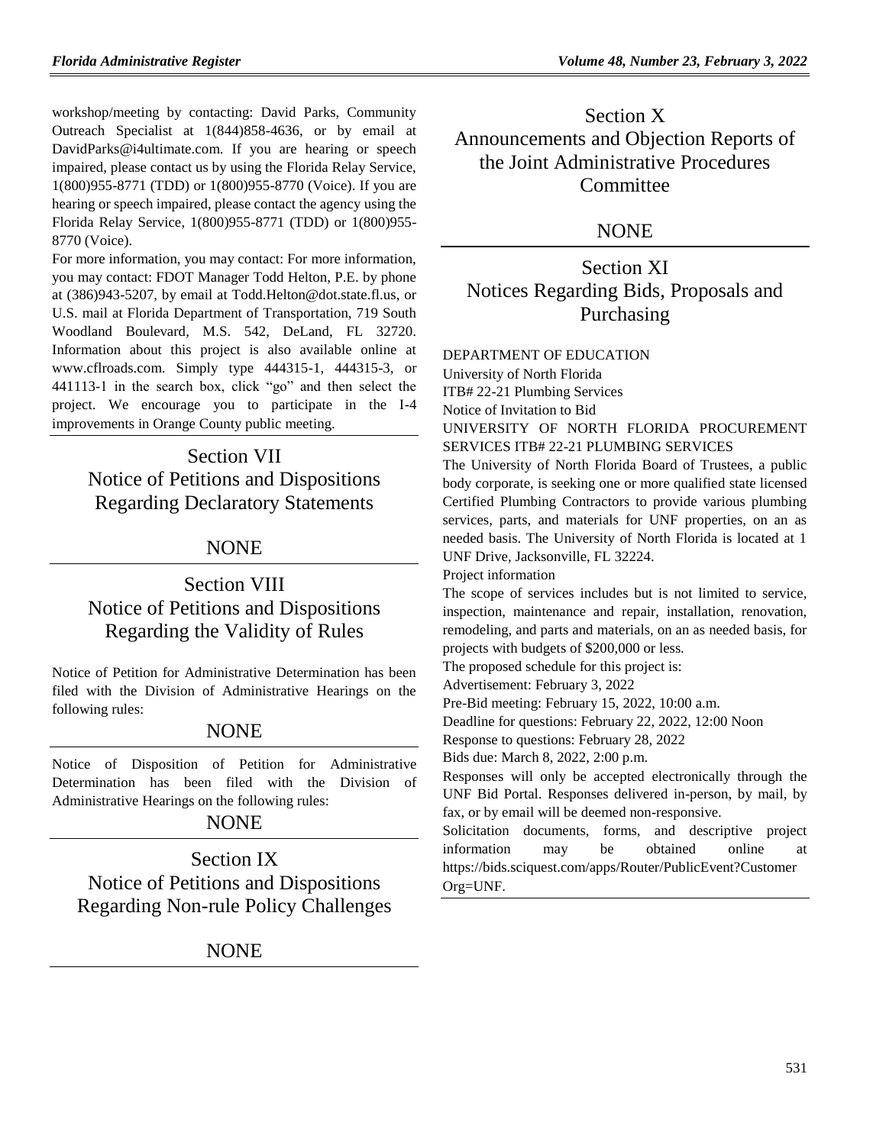workshop/meeting by contacting: David Parks, Community Outreach Specialist at 1(844)858-4636, or by email at DavidParks@i4ultimate.com. If you are hearing or speech impaired, please contact us by using the Florida Relay Service, 1(800)955-8771 (TDD) or 1(800)955-8770 (Voice). If you are hearing or speech impaired, please contact the agency using the Florida Relay Service, 1(800)955-8771 (TDD) or 1(800)955- 8770 (Voice).

For more information, you may contact: For more information, you may contact: FDOT Manager Todd Helton, P.E. by phone at (386)943-5207, by email at Todd.Helton@dot.state.fl.us, or U.S. mail at Florida Department of Transportation, 719 South Woodland Boulevard, M.S. 542, DeLand, FL 32720. Information about this project is also available online at www.cflroads.com. Simply type 444315-1, 444315-3, or 441113-1 in the search box, click "go" and then select the project. We encourage you to participate in the I-4 improvements in Orange County public meeting.

Section VII Notice of Petitions and Dispositions Regarding Declaratory Statements

## NONE

# Section VIII Notice of Petitions and Dispositions Regarding the Validity of Rules

Notice of Petition for Administrative Determination has been filed with the Division of Administrative Hearings on the following rules:

## **NONE**

Notice of Disposition of Petition for Administrative Determination has been filed with the Division of Administrative Hearings on the following rules:

# **NONE**

Section IX Notice of Petitions and Dispositions Regarding Non-rule Policy Challenges

**NONE** 

Section X Announcements and Objection Reports of the Joint Administrative Procedures **Committee** 

## NONE

Section XI Notices Regarding Bids, Proposals and Purchasing

#### [DEPARTMENT OF EDUCATION](https://www.flrules.org/gateway/department.asp?id=6)

[University of North Florida](https://www.flrules.org/gateway/organization.asp?id=207)

ITB# 22-21 Plumbing Services

Notice of Invitation to Bid

UNIVERSITY OF NORTH FLORIDA PROCUREMENT SERVICES ITB# 22-21 PLUMBING SERVICES

The University of North Florida Board of Trustees, a public body corporate, is seeking one or more qualified state licensed Certified Plumbing Contractors to provide various plumbing services, parts, and materials for UNF properties, on an as needed basis. The University of North Florida is located at 1 UNF Drive, Jacksonville, FL 32224.

Project information

The scope of services includes but is not limited to service, inspection, maintenance and repair, installation, renovation, remodeling, and parts and materials, on an as needed basis, for projects with budgets of \$200,000 or less.

The proposed schedule for this project is:

Advertisement: February 3, 2022

Pre-Bid meeting: February 15, 2022, 10:00 a.m.

Deadline for questions: February 22, 2022, 12:00 Noon

Response to questions: February 28, 2022

Bids due: March 8, 2022, 2:00 p.m.

Responses will only be accepted electronically through the UNF Bid Portal. Responses delivered in-person, by mail, by fax, or by email will be deemed non-responsive.

Solicitation documents, forms, and descriptive project information may be obtained online at [https://bids.sciquest.com/apps/Router/PublicEvent?Customer](https://bids.sciquest.com/apps/Router/PublicEvent?CustomerOrg=UNF) [Org=UNF.](https://bids.sciquest.com/apps/Router/PublicEvent?CustomerOrg=UNF)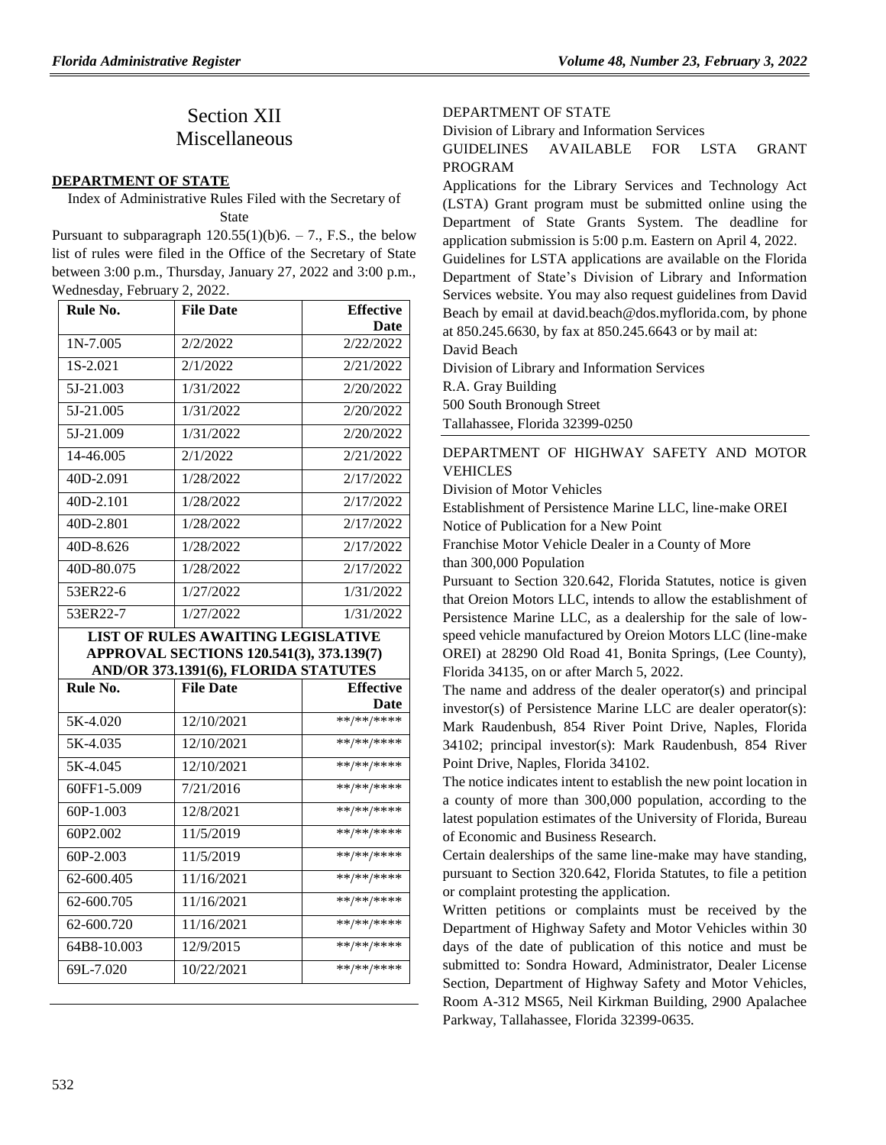# Section XII Miscellaneous

#### **[DEPARTMENT OF STATE](https://www.flrules.org/gateway/department.asp?id=1)**

Index of Administrative Rules Filed with the Secretary of State

Pursuant to subparagraph  $120.55(1)(b)6. - 7$ ., F.S., the below list of rules were filed in the Office of the Secretary of State between 3:00 p.m., Thursday, January 27, 2022 and 3:00 p.m., Wednesday, February 2, 2022.

| Rule No.   | <b>File Date</b> | <b>Effective</b> |
|------------|------------------|------------------|
|            |                  | Date             |
| $1N-7.005$ | 2/2/2022         | 2/22/2022        |
| 1S-2.021   | 2/1/2022         | 2/21/2022        |
| 5J-21.003  | 1/31/2022        | 2/20/2022        |
| 5J-21.005  | 1/31/2022        | 2/20/2022        |
| 5J-21.009  | 1/31/2022        | 2/20/2022        |
| 14-46.005  | 2/1/2022         | 2/21/2022        |
| 40D-2.091  | 1/28/2022        | 2/17/2022        |
| 40D-2.101  | 1/28/2022        | 2/17/2022        |
| 40D-2.801  | 1/28/2022        | 2/17/2022        |
| 40D-8.626  | 1/28/2022        | 2/17/2022        |
| 40D-80.075 | 1/28/2022        | 2/17/2022        |
| 53ER22-6   | 1/27/2022        | 1/31/2022        |
| 53ER22-7   | 1/27/2022        | 1/31/2022        |

### **LIST OF RULES AWAITING LEGISLATIVE APPROVAL SECTIONS 120.541(3), 373.139(7) AND/OR 373.1391(6), FLORIDA STATUTES**

| Rule No.    | <b>File Date</b> | <b>Effective</b> |
|-------------|------------------|------------------|
|             |                  | Date             |
| 5K-4.020    | 12/10/2021       | **/**/****       |
| 5K-4.035    | 12/10/2021       | **/**/****       |
| 5K-4.045    | 12/10/2021       | **/**/****       |
| 60FF1-5.009 | 7/21/2016        | **/**/****       |
| $60P-1.003$ | 12/8/2021        | **/**/****       |
| 60P2.002    | 11/5/2019        | **/**/****       |
| $60P-2.003$ | 11/5/2019        | **/**/****       |
| 62-600.405  | 11/16/2021       | **/**/****       |
| 62-600.705  | 11/16/2021       | **/**/****       |
| 62-600.720  | 11/16/2021       | **/**/****       |
| 64B8-10.003 | 12/9/2015        | **/**/****       |
| 69L-7.020   | 10/22/2021       | **/**/****       |

## [DEPARTMENT OF STATE](https://www.flrules.org/gateway/department.asp?id=1)

[Division of Library and Information Services](https://www.flrules.org/gateway/organization.asp?id=2)

GUIDELINES AVAILABLE FOR LSTA GRANT PROGRAM

Applications for the Library Services and Technology Act (LSTA) Grant program must be submitted online using the [Department of State Grants System.](http://dosgrants.com/) The deadline for application submission is 5:00 p.m. Eastern on April 4, 2022.

Guidelines for LSTA applications are available on the Florida Department of State's Division of Library and Information Services [website.](https://dos.myflorida.com/library-archives/library-development/funding/lsta/) You may also request guidelines from David Beach by email at [david.beach@dos.myflorida.com,](mailto:david.beach@dos.myflorida.com) by phone at 850.245.6630, by fax at 850.245.6643 or by mail at:

David Beach

Division of Library and Information Services

R.A. Gray Building

500 South Bronough Street

Tallahassee, Florida 32399-0250

## [DEPARTMENT OF HIGHWAY SAFETY AND MOTOR](https://www.flrules.org/gateway/department.asp?id=15)  **[VEHICLES](https://www.flrules.org/gateway/department.asp?id=15)**

[Division of Motor Vehicles](https://www.flrules.org/gateway/organization.asp?id=42)

Establishment of Persistence Marine LLC, line-make OREI

Notice of Publication for a New Point

Franchise Motor Vehicle Dealer in a County of More than 300,000 Population

Pursuant to Section 320.642, Florida Statutes, notice is given that Oreion Motors LLC, intends to allow the establishment of Persistence Marine LLC, as a dealership for the sale of lowspeed vehicle manufactured by Oreion Motors LLC (line-make OREI) at 28290 Old Road 41, Bonita Springs, (Lee County), Florida 34135, on or after March 5, 2022.

The name and address of the dealer operator(s) and principal investor(s) of Persistence Marine LLC are dealer operator(s): Mark Raudenbush, 854 River Point Drive, Naples, Florida 34102; principal investor(s): Mark Raudenbush, 854 River Point Drive, Naples, Florida 34102.

The notice indicates intent to establish the new point location in a county of more than 300,000 population, according to the latest population estimates of the University of Florida, Bureau of Economic and Business Research.

Certain dealerships of the same line-make may have standing, pursuant to Section 320.642, Florida Statutes, to file a petition or complaint protesting the application.

Written petitions or complaints must be received by the Department of Highway Safety and Motor Vehicles within 30 days of the date of publication of this notice and must be submitted to: Sondra Howard, Administrator, Dealer License Section, Department of Highway Safety and Motor Vehicles, Room A-312 MS65, Neil Kirkman Building, 2900 Apalachee Parkway, Tallahassee, Florida 32399-0635.